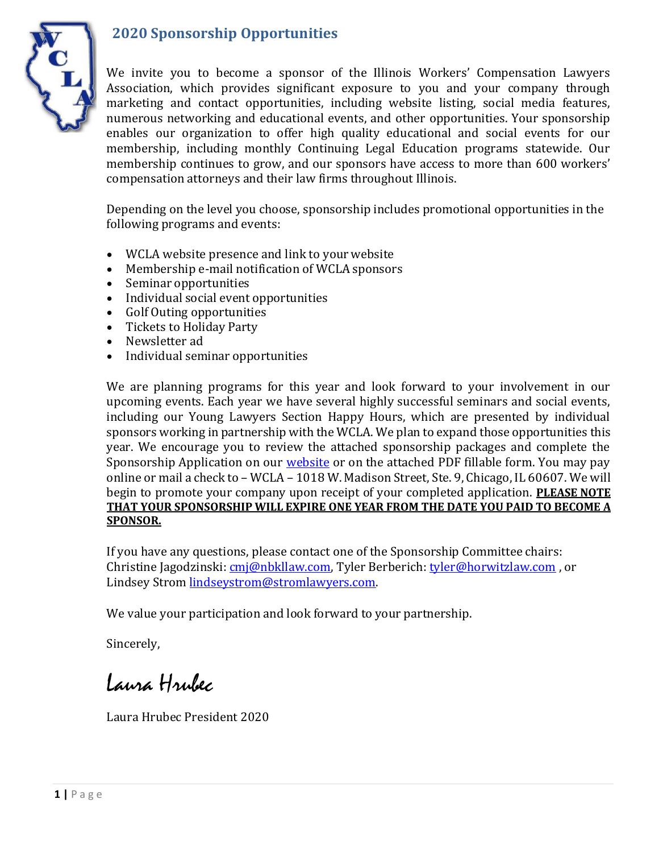



We invite you to become a sponsor of the Illinois Workers' Compensation Lawyers Association, which provides significant exposure to you and your company through marketing and contact opportunities, including website listing, social media features, numerous networking and educational events, and other opportunities. Your sponsorship enables our organization to offer high quality educational and social events for our membership, including monthly Continuing Legal Education programs statewide. Our membership continues to grow, and our sponsors have access to more than 600 workers' compensation attorneys and their law firms throughout Illinois.

Depending on the level you choose, sponsorship includes promotional opportunities in the following programs and events:

- WCLA website presence and link to your website
- Membership e-mail notification of WCLA sponsors
- Seminar opportunities
- Individual social event opportunities
- Golf Outing opportunities
- Tickets to Holiday Party
- Newsletter ad
- Individual seminar opportunities

We are planning programs for this year and look forward to your involvement in our upcoming events. Each year we have several highly successful seminars and social events, including our Young Lawyers Section Happy Hours, which are presented by individual sponsors working in partnership with the WCLA. We plan to expand those opportunities this year. We encourage you to review the attached sponsorship packages and complete the Sponsorship Application on our [website](https://wcla.info/Sponsorship-Form) or on the attached PDF fillable form. You may pay online or mail a check to – WCLA – 1018 W. Madison Street, Ste. 9, Chicago, IL 60607. We will begin to promote your company upon receipt of your completed application. **PLEASE NOTE THAT YOUR SPONSORSHIP WILL EXPIRE ONE YEAR FROM THE DATE YOU PAID TO BECOME A SPONSOR.**

If you have any questions, please contact one of the Sponsorship Committee chairs: Christine Jagodzinski: [cmj@nbkllaw.com, T](mailto:cmj@nbkllaw.com)yler Berberich: [tyler@horwitzlaw.com](mailto:tyler@horwitzlaw.com) , or Lindsey Strom [lindseystrom@stromlawyers.com.](mailto:lindseystrom@stromlawyers.com)

We value your participation and look forward to your partnership.

Sincerely,

Laura Hrubec

Laura Hrubec President 2020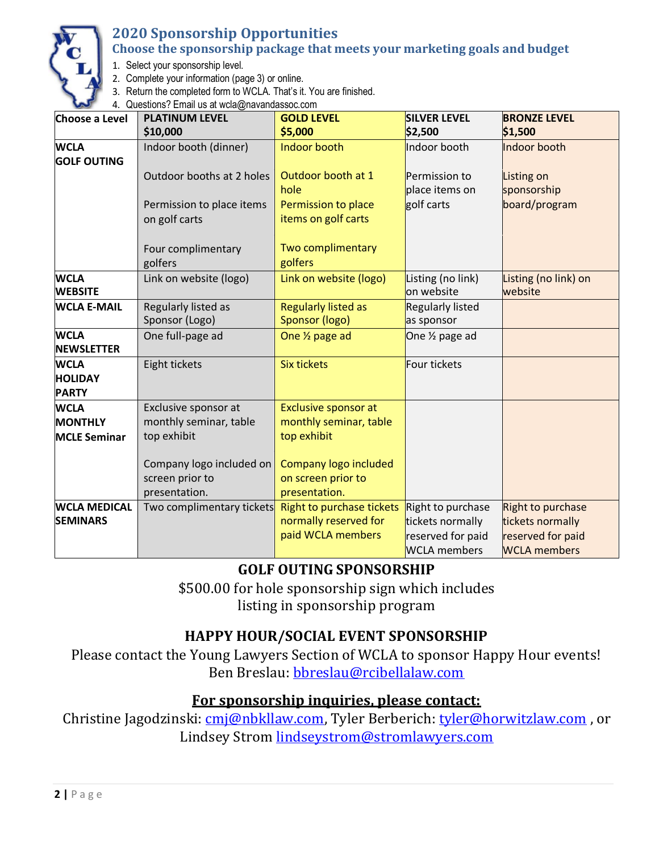

# **2020 Sponsorship Opportunities**

#### **Choose the sponsorship package that meets your marketing goals and budget**

- 1. Select your sponsorship level.
- 2. Complete your information (page 3) or online.
- 3. Return the completed form to WCLA. That's it. You are finished.

4. Questions? Email us at [wcla@navandassoc.com](mailto:wcla@navandassoc.com)

| Choose a Level                                | <b>PLATINUM LEVEL</b>                      | <b>GOLD LEVEL</b>                                                       | <b>SILVER LEVEL</b>                                                               | <b>BRONZE LEVEL</b>                                                               |
|-----------------------------------------------|--------------------------------------------|-------------------------------------------------------------------------|-----------------------------------------------------------------------------------|-----------------------------------------------------------------------------------|
|                                               | \$10,000                                   | \$5,000                                                                 | \$2,500                                                                           | \$1,500                                                                           |
| <b>WCLA</b><br><b>GOLF OUTING</b>             | Indoor booth (dinner)                      | Indoor booth                                                            | Indoor booth                                                                      | Indoor booth                                                                      |
|                                               | Outdoor booths at 2 holes                  | Outdoor booth at 1<br>hole                                              | Permission to<br>place items on                                                   | Listing on<br>sponsorship                                                         |
|                                               | Permission to place items<br>on golf carts | Permission to place<br>items on golf carts                              | golf carts                                                                        | board/program                                                                     |
|                                               | Four complimentary<br>golfers              | Two complimentary<br>golfers                                            |                                                                                   |                                                                                   |
| <b>WCLA</b><br><b>WEBSITE</b>                 | Link on website (logo)                     | Link on website (logo)                                                  | Listing (no link)<br>on website                                                   | Listing (no link) on<br>website                                                   |
| <b>WCLA E-MAIL</b>                            | Regularly listed as<br>Sponsor (Logo)      | <b>Regularly listed as</b><br>Sponsor (logo)                            | <b>Regularly listed</b><br>as sponsor                                             |                                                                                   |
| <b>WCLA</b><br><b>NEWSLETTER</b>              | One full-page ad                           | One 1/2 page ad                                                         | One 1/2 page ad                                                                   |                                                                                   |
| <b>WCLA</b><br><b>HOLIDAY</b><br><b>PARTY</b> | Eight tickets                              | <b>Six tickets</b>                                                      | Four tickets                                                                      |                                                                                   |
| <b>WCLA</b>                                   | Exclusive sponsor at                       | <b>Exclusive sponsor at</b>                                             |                                                                                   |                                                                                   |
| <b>MONTHLY</b>                                | monthly seminar, table                     | monthly seminar, table                                                  |                                                                                   |                                                                                   |
| <b>MCLE Seminar</b>                           | top exhibit                                | top exhibit                                                             |                                                                                   |                                                                                   |
|                                               | Company logo included on                   | Company logo included                                                   |                                                                                   |                                                                                   |
|                                               | screen prior to                            | on screen prior to                                                      |                                                                                   |                                                                                   |
|                                               | presentation.                              | presentation.                                                           |                                                                                   |                                                                                   |
| <b>WCLA MEDICAL</b><br><b>SEMINARS</b>        | Two complimentary tickets                  | Right to purchase tickets<br>normally reserved for<br>paid WCLA members | Right to purchase<br>tickets normally<br>reserved for paid<br><b>WCLA</b> members | Right to purchase<br>tickets normally<br>reserved for paid<br><b>WCLA</b> members |

# **GOLF OUTING SPONSORSHIP**

\$500.00 for hole sponsorship sign which includes listing in sponsorship program

## **HAPPY HOUR/SOCIAL EVENT SPONSORSHIP**

Please contact the Young Lawyers Section of WCLA to sponsor Happy Hour events! Ben Breslau: [bbreslau@rcibellalaw.com](mailto:bbreslau@rcibellalaw.com)

### **For sponsorship inquiries, please contact:**

Christine Jagodzinski: [cmj@nbkllaw.com, T](mailto:cmj@nbkllaw.com)yler Berberich: [tyler@horwitzlaw.com](mailto:tyler@horwitzlaw.com), or Lindsey Strom [lindseystrom@stromlawyers.com](mailto:lindseystrom@stromlawyers.com)